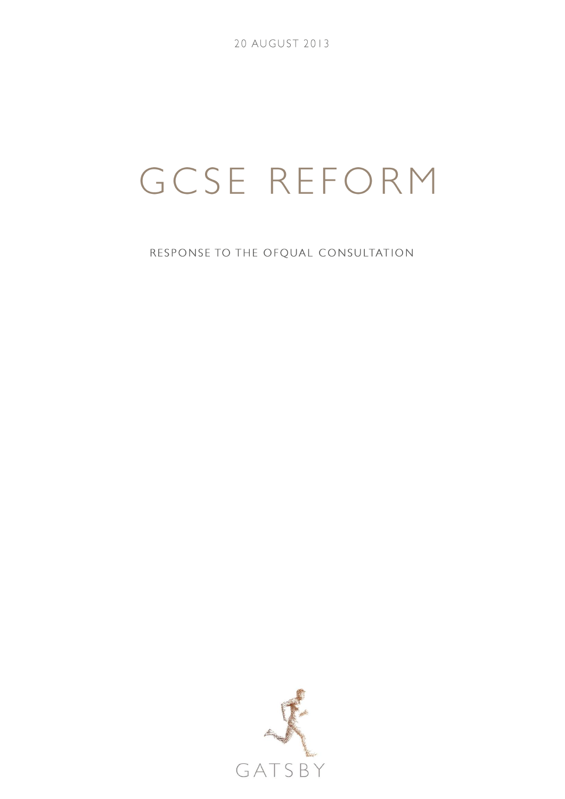20 AUGUST 2013

# GCSE REFORM

RESPONSE TO THE OFQUAL CONSULTATION

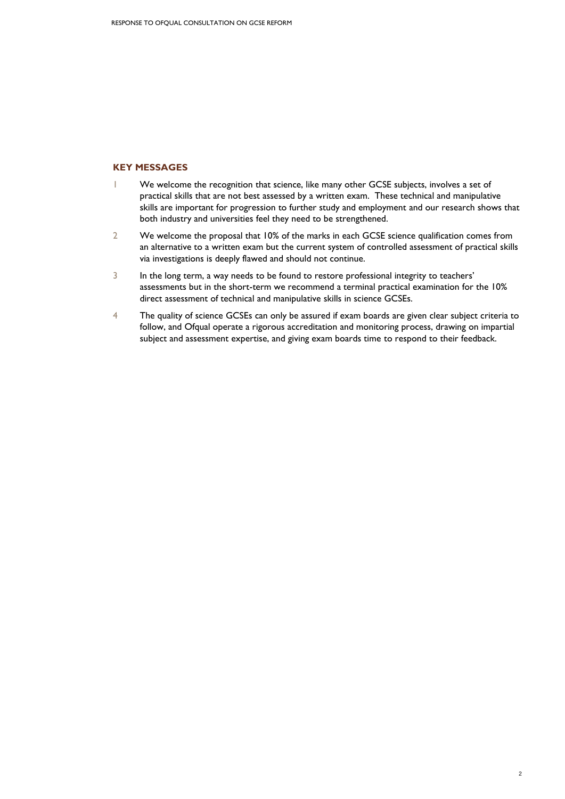# **KEY MESSAGES**

- 1 We welcome the recognition that science, like many other GCSE subjects, involves a set of practical skills that are not best assessed by a written exam. These technical and manipulative skills are important for progression to further study and employment and our research shows that both industry and universities feel they need to be strengthened.
- 2 We welcome the proposal that 10% of the marks in each GCSE science qualification comes from an alternative to a written exam but the current system of controlled assessment of practical skills via investigations is deeply flawed and should not continue.
- 3 In the long term, a way needs to be found to restore professional integrity to teachers' assessments but in the short-term we recommend a terminal practical examination for the 10% direct assessment of technical and manipulative skills in science GCSEs.
- 4 The quality of science GCSEs can only be assured if exam boards are given clear subject criteria to follow, and Ofqual operate a rigorous accreditation and monitoring process, drawing on impartial subject and assessment expertise, and giving exam boards time to respond to their feedback.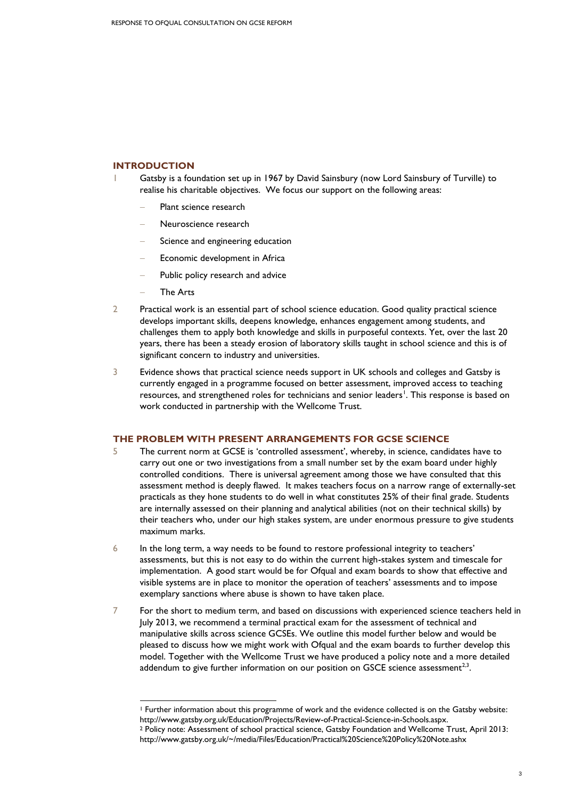# **INTRODUCTION**

- 1 Gatsby is a foundation set up in 1967 by David Sainsbury (now Lord Sainsbury of Turville) to realise his charitable objectives. We focus our support on the following areas:
	- Plant science research
	- Neuroscience research
	- Science and engineering education
	- Economic development in Africa
	- Public policy research and advice
	- The Arts

1

- 2 Practical work is an essential part of school science education. Good quality practical science develops important skills, deepens knowledge, enhances engagement among students, and challenges them to apply both knowledge and skills in purposeful contexts. Yet, over the last 20 years, there has been a steady erosion of laboratory skills taught in school science and this is of significant concern to industry and universities.
- 3 Evidence shows that practical science needs support in UK schools and colleges and Gatsby is currently engaged in a programme focused on better assessment, improved access to teaching resources, and strengthened roles for technicians and senior leaders<sup>1</sup>. This response is based on work conducted in partnership with the Wellcome Trust.

#### **THE PROBLEM WITH PRESENT ARRANGEMENTS FOR GCSE SCIENCE**

- 5 The current norm at GCSE is 'controlled assessment', whereby, in science, candidates have to carry out one or two investigations from a small number set by the exam board under highly controlled conditions. There is universal agreement among those we have consulted that this assessment method is deeply flawed. It makes teachers focus on a narrow range of externally-set practicals as they hone students to do well in what constitutes 25% of their final grade. Students are internally assessed on their planning and analytical abilities (not on their technical skills) by their teachers who, under our high stakes system, are under enormous pressure to give students maximum marks.
- 6 In the long term, a way needs to be found to restore professional integrity to teachers' assessments, but this is not easy to do within the current high-stakes system and timescale for implementation. A good start would be for Ofqual and exam boards to show that effective and visible systems are in place to monitor the operation of teachers' assessments and to impose exemplary sanctions where abuse is shown to have taken place.
- 7 For the short to medium term, and based on discussions with experienced science teachers held in July 2013, we recommend a terminal practical exam for the assessment of technical and manipulative skills across science GCSEs. We outline this model further below and would be pleased to discuss how we might work with Ofqual and the exam boards to further develop this model. Together with the Wellcome Trust we have produced a policy note and a more detailed addendum to give further information on our position on GSCE science assessment<sup>2,3</sup>.

<sup>1</sup> Further information about this programme of work and the evidence collected is on the Gatsby website: [http://www.gatsby.org.uk/Education/Projects/Review-of-Practical-Science-in-Schools.aspx.](http://www.gatsby.org.uk/Education/Projects/Review-of-Practical-Science-in-Schools.aspx) 

<sup>2</sup> Policy note: Assessment of school practical science, Gatsby Foundation and Wellcome Trust, April 2013: <http://www.gatsby.org.uk/~/media/Files/Education/Practical%20Science%20Policy%20Note.ashx>